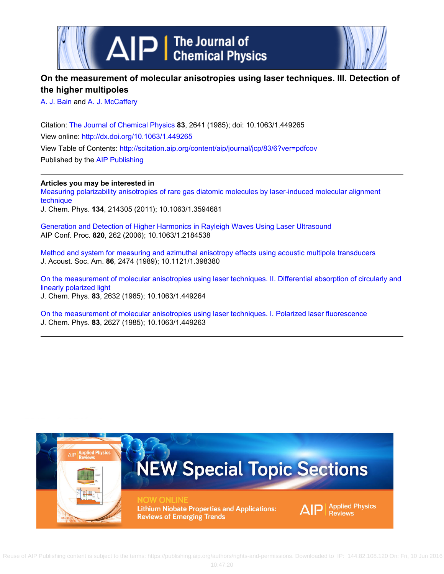

# **On the measurement of molecular anisotropies using laser techniques. III. Detection of the higher multipoles**

[A. J. Bain](http://scitation.aip.org/search?value1=A.+J.+Bain&option1=author) and [A. J. McCaffery](http://scitation.aip.org/search?value1=A.+J.+McCaffery&option1=author)

Citation: [The Journal of Chemical Physics](http://scitation.aip.org/content/aip/journal/jcp?ver=pdfcov) **83**, 2641 (1985); doi: 10.1063/1.449265 View online: <http://dx.doi.org/10.1063/1.449265> View Table of Contents: <http://scitation.aip.org/content/aip/journal/jcp/83/6?ver=pdfcov> Published by the [AIP Publishing](http://scitation.aip.org/content/aip?ver=pdfcov)

### **Articles you may be interested in**

[Measuring polarizability anisotropies of rare gas diatomic molecules by laser-induced molecular alignment](http://scitation.aip.org/content/aip/journal/jcp/134/21/10.1063/1.3594681?ver=pdfcov) [technique](http://scitation.aip.org/content/aip/journal/jcp/134/21/10.1063/1.3594681?ver=pdfcov)

J. Chem. Phys. **134**, 214305 (2011); 10.1063/1.3594681

[Generation and Detection of Higher Harmonics in Rayleigh Waves Using Laser Ultrasound](http://scitation.aip.org/content/aip/proceeding/aipcp/10.1063/1.2184538?ver=pdfcov) AIP Conf. Proc. **820**, 262 (2006); 10.1063/1.2184538

[Method and system for measuring and azimuthal anisotropy effects using acoustic multipole transducers](http://scitation.aip.org/content/asa/journal/jasa/86/6/10.1121/1.398380?ver=pdfcov) J. Acoust. Soc. Am. **86**, 2474 (1989); 10.1121/1.398380

[On the measurement of molecular anisotropies using laser techniques. II. Differential absorption of circularly and](http://scitation.aip.org/content/aip/journal/jcp/83/6/10.1063/1.449264?ver=pdfcov) [linearly polarized light](http://scitation.aip.org/content/aip/journal/jcp/83/6/10.1063/1.449264?ver=pdfcov) J. Chem. Phys. **83**, 2632 (1985); 10.1063/1.449264

[On the measurement of molecular anisotropies using laser techniques. I. Polarized laser fluorescence](http://scitation.aip.org/content/aip/journal/jcp/83/6/10.1063/1.449263?ver=pdfcov) J. Chem. Phys. **83**, 2627 (1985); 10.1063/1.449263

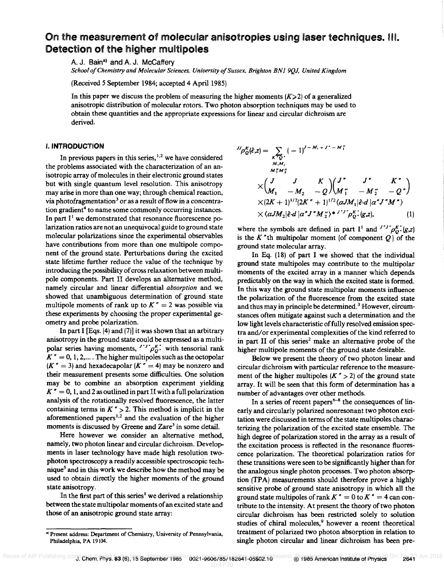## On the measurement of molecular anisotropies using laser techniques. HI. Detection of the higher muliipoles

A. J. Bain<sup>a)</sup> and A. J. McCaffery

*School of Chemistry and Molecular Sciences, University of Sussex, Brighton BN1 9QJ, United Kingdom* 

(Received 5 September 1984; accepted 4 April 1985)

In this paper we discuss the problem of measuring the higher moments  $(K>2)$  of a generalized anisotropic distribution of molecular rotors. Two photon absorption techniques may be used to obtain these quantities and the appropriate expressions for linear and circular dichroism are derived.

#### I. INTRODUCTION

In previous papers in this series, $1.2$  we have considered the problems associated with the characterization of an anisotropic array of molecules in their electronic ground states but with single quantum level resolution. This anisotropy may arise in more than one way; through chemical reaction, via photofragmentation<sup>3</sup> or as a result of flow in a concentration gradient<sup>4</sup> to name some commonly occurring instances. In part  $I<sup>1</sup>$  we demonstrated that resonance fluorescence polarization ratios are not an unequivocal guide to ground state molecular polarizations since the experimental observables have contributions from more than one multipole component of the ground state. Perturbations during the excited state lifetime further reduce the value of the technique by introducing the possibility of cross relaxation between multipole components. Part II develops an alternative method, namely circular and linear differential *absorption* and we showed that unambiguous determination of ground state multipole moments of rank up to  $K'' = 2$  was possible via these experiments by choosing the proper experimental geometry and probe polarization.

In part I [Eqs. (4) and (7)] it was shown that an arbitrary anisotropy in the ground state could be expressed as a multipolar series having moments,  $J' J' \rho_{Q}^{\kappa}$ , with tensorial rank  $K'' = 0, 1, 2, \ldots$ . The higher multipoles such as the octopolar  $(K'' = 3)$  and hexadecapolar  $(K'' = 4)$  may be nonzero and their measurement presents some difficulties. One solution may be to combine an absorption experiment yielding  $K'' = 0$ , 1, and 2 as outlined in part II with a full polarization analysis of the rotationally resolved fluorescence, the latter containing terms in  $K'' > 2$ . This method is implicit in the aforementioned papers<sup>1,2</sup> and the evaluation of the higher moments is discussed by Greene and Zare<sup>3</sup> in some detail.

Here however we consider an alternative method, namely, two photon linear and circular dichroism. Developments in laser technology have made high resolution twophoton spectroscopy a readily accessible spectroscopic technique<sup>5</sup> and in this work we describe how the method may be used to obtain directly the higher moments of the ground state anisotropy.

In the first part of this series<sup>1</sup> we derived a relationship between the state multipolar moments of an excited state and those of an anisotropic ground state array:

$$
{}^{IJ}\rho_{Q}^{K}(\hat{\epsilon},z) = \sum_{K^{+}Q^{+}} (-1)^{J-M_{1}+J^{+}-M_{1}''}
$$
  
\n
$$
\times {J \atop M_{1}''M_{2}''} \times {J \atop M_{1}''-M_{2}''-Q} \begin{pmatrix} J^{*} & J^{*} & K^{*} \\ M_{1} & -M_{2} & -Q \end{pmatrix} {M_{1}'' \atop M_{1}''-M_{2}''-Q''}
$$
  
\n
$$
\times (2K+1)^{1/2} (2K^{*}+1)^{1/2} \langle \alpha JM_{1} | \hat{\epsilon} \cdot d | \alpha^{*} J^{*} M^{*} \rangle
$$
  
\n
$$
\times \langle \alpha JM_{2} | \hat{\epsilon} \cdot d | \alpha^{*} J^{*} M_{2}'' \rangle + {J^{*}J^{*}} \rho_{Q^{*}}^{K^{*}}(g,z), \qquad (1)
$$

where the symbols are defined in part I<sup>1</sup> and  $J'J'\rho_0^{K'}(g,z)$ is the K "th multipolar moment (of component *Q)* of the ground state molecular array.

In Eq. (18) of part I we showed that the individual ground state multipoles may contribute to the multipolar moments of the excited array in a manner which depends predictably on the way in which the excited state is formed. In this way the ground state multipolar moments influence the polarization of the fluorescence from the excited state and thus may in principle be determined.<sup>3</sup> However, circumstances often mitigate against such a determination and the low light levels characteristic of fully resolved emission spectra and/or experimental complexities of the kind referred to in part II of this series<sup>2</sup> make an alternative probe of the higher multipole moments of the ground state desirable.

Below we present the theory of two photon linear and circular dichroism with particular reference to the measurement of the higher multipoles  $(K'' > 2)$  of the ground state array. It will be seen that this form of determination has a number of advantages over other methods.

In a series of recent papers<sup> $6-8$ </sup> the consequences of linearly and circularly polarized nonresonant two photon excitation were discussed in terms of the state multipoles characterizing the polarization of the excited state ensemble. The high degree of polarization stored in the array as a result of the excitation process is reflected in the resonance fluorescence polarization. The theoretical polarization ratios for these transitions were seen to be significantly higher than for the analogous single photon processes. Two photon absorption (TPA) measurements should therefore prove a highly sensitive probe of ground state anisotropy in which all the ground state multipoles of rank  $K'' = 0$  to  $K'' = 4$  can contribute to the intensity. At present the theory of two photon circular dichroism has been restricted solely to solution studies of chiral molecules,<sup>9</sup> however a recent theoretical treatment of polarized two photon absorption in relation to single photon circular and linear dichroism has been pre-

<sup>&</sup>lt;sup>a)</sup> Present address: Department of Chemistry, University of Pennsylvania, Philadelphia, PA 19104.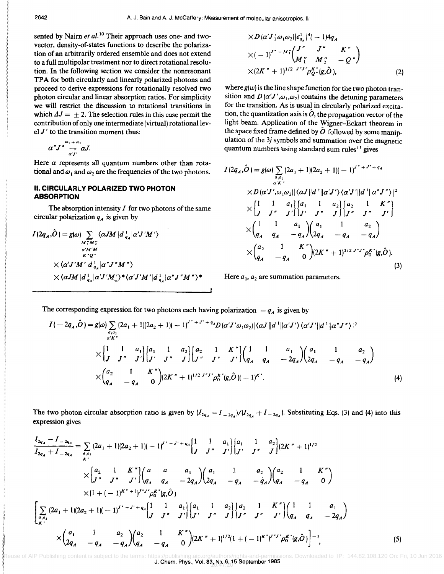sented by Nairn *et al.*<sup>10</sup> Their approach uses one- and twovector, density-of-states functions to describe the polarization of an arbitrarily ordered ensemble and does not extend to a full multipolar treatment nor to direct rotational resolution. In the following section we consider the nonresonant TPA for both circularly and linearly polarized photons and proceed to derive expressions for rotationally resolved two photon circular and linear absorption ratios. For simplicity we will restrict the discussion to rotational transitions in which  $\Delta J = \pm 2$ . The selection rules in this case permit the contribution of only one intermediate (virtual) rotational lev $el J'$  to the transition moment thus:

$$
\alpha''J \overset{\omega_1 + \omega_2}{\rightarrow} \alpha J.
$$

Here  $\alpha$  represents all quantum numbers other than rotational and  $\omega_1$  and  $\omega_2$  are the frequencies of the two photons.

#### II. CIRCULARLY POLARIZED TWO PHOTON ABSORPTION

The absorption intensity  $I$  for two photons of the same circular polarization  $q_A$  is given by

$$
I(2q_A,\hat{O}) = g(\omega) \sum_{\substack{M''_1M''_2\\ \alpha'M'M\\ K^*Q^*}} \langle \alpha JM | d_{q_A}^1 | \alpha' J'M' \rangle
$$
  
\$\times \langle \alpha' J'M' | d\_{q\_A}^1 | \alpha'' J''M'' \rangle\$  
\$\times \langle \alpha JM | d\_{q\_A}^1 | \alpha' J'M' \rangle^\* \langle \alpha' J'M' | d\_{q\_A}^1 | \alpha'' J''M'' \rangle^\*\$

$$
\times D(\alpha' J'_1 \omega_1 \omega_2)|\epsilon_{q_A}^{j_1} |^{*}(-1)4q_A
$$
  
\n
$$
\times (-1)^{J^* - M''_1} \begin{pmatrix} J'' & J'' & K'' \\ M''_1 & M''_2 & -Q'' \end{pmatrix}
$$
  
\n
$$
\times (2K'' + 1)^{1/2} {J''J'}\rho_{Q}^{\kappa} \cdot (g, \hat{O}),
$$
 (2)

where  $g(w)$  is the line shape function for the two photon transition and  $D(\alpha'J',\omega_1,\omega_2)$  contains the detuning parameters for the transition. As is usual in circularly polarized excitation, the quantization axis is  $\ddot{\theta}$ , the propagation vector of the light beam. Application of the Wigner-Eckart theorem in tion, the quantization axis is  $\sigma$ , the propagation vector of the<br>light beam. Application of the Wigner-Eckart theorem in<br>the space fixed frame defined by  $\hat{O}$  followed by some manipulation of the *3j* symbols and summation over the magnetic quantum numbers using standard sum rules<sup> $11$ </sup> gives

$$
I(2q_A, \hat{O}) = g(\omega) \sum_{\alpha_1, \alpha_2} (2a_1 + 1)(2a_2 + 1)(-1)^{J^* + J' + q_A}
$$
  
\n
$$
\times D(\alpha' J', \omega_1 \omega_2) | \langle \alpha J || d^* || \alpha' J' \rangle \langle \alpha' J' || d^* || \alpha'' J'' \rangle |^2
$$
  
\n
$$
\times \begin{bmatrix} 1 & 1 & a_1 \\ J & J'' & J' \end{bmatrix} \begin{bmatrix} a_1 & 1 & a_2 \\ J' & J'' & J \end{bmatrix} \begin{bmatrix} a_2 & 1 & K'' \\ J'' & J'' & J' \end{bmatrix}
$$
  
\n
$$
\times \begin{pmatrix} 1 & 1 & a_1 \\ q_A & q_A & -q_A \end{pmatrix} \begin{bmatrix} a_1 & 1 & a_2 \\ 2q_A & -q_A & -q_A \end{bmatrix}
$$
  
\n
$$
\times \begin{pmatrix} a_2 & 1 & K \\ q_A & -q_A & 0 \end{pmatrix} (2K'' + 1)^{1/2} J^{*J''} \rho_0^{K''}(g, \hat{O}).
$$
  
\n(3)

Here  $a_1$ ,  $a_2$  are summation parameters.

The corresponding expression for two photons each having polarization  $-q_A$  is given by

$$
I(-2q_A,\hat{O}) = g(\omega) \sum_{\substack{a_1a_2 \\ a'K}} (2a_1 + 1)(2a_2 + 1)(-1)^{J^* + J^* + q_A} D(\alpha' J' \omega_1 \omega_2) |\langle \alpha J || d^* || \alpha' J' \rangle \langle \alpha' J' || d^* || \alpha'' J'' \rangle |^2
$$
  
 
$$
\times \begin{bmatrix} 1 & 1 & a_1 \\ J & J'' & J' \end{bmatrix} \begin{bmatrix} a_1 & 1 & a_2 \\ J' & J'' & J \end{bmatrix} \begin{bmatrix} a_2 & 1 & K'' \\ J'' & J'' & J' \end{bmatrix} \begin{bmatrix} 1 & 1 & a_1 \\ q_A & q_A & -2q_A \end{bmatrix} \begin{bmatrix} a_1 & 1 & a_2 \\ 2q_A & -q_A & -q_A \end{bmatrix}
$$
  
 
$$
\times \begin{pmatrix} a_2 & 1 & K'' \\ q_A & -q_A & 0 \end{pmatrix} (2K'' + 1)^{1/2} J'' J'' \rho_0^{K''}(g, \hat{O})(-1)^{K''}. \tag{4}
$$

The two photon circular absorption ratio is given by  $(I_{2q_A} - I_{2q_A})/(I_{2q_A} + I_{2q_A})$ . Substituting Eqs. (3) and (4) into this expression gives

$$
\frac{I_{2q_A} - I_{-2q_A}}{I_{2q_A} + I_{-2q_A}} = \sum_{a_i a_j} (2a_1 + 1)(2a_2 + 1)(-1)^{j^* + j^* + q_A} \left\{ \frac{1}{J} \frac{1}{J''} \frac{a_1}{J''} \right\} \left\{ \frac{a_1}{J''} \frac{1}{J''} \frac{a_2}{J''} \right\} (2K'' + 1)^{1/2}
$$
\n
$$
\times \left\{ \frac{a_2}{J''} \frac{1}{J''} \frac{K''}{J''} \right\} \left( \frac{a_1}{q_A} \frac{a_1}{q_A} - 2q_A \right) \left( \frac{a_1}{2q_A} \frac{1}{-q_A} - \frac{a_2}{-q_A} \right) \left( \frac{a_2}{q_A} \frac{1}{-q_A} \frac{K''}{0} \right)
$$
\n
$$
\times \left[ 1 + (-1)^{K^* + 1} \right]^{j^* + j^*} \rho_0^{K'}(g, \hat{O})
$$
\n
$$
\left[ \sum_{a_i a_2} (2a_1 + 1)(2a_2 + 1)(-1)^{j^* + j^* + q_A} \left\{ \frac{1}{J} \frac{1}{J''} \frac{a_1}{J''} \right\} \left[ \frac{a_1}{J''} \frac{1}{J''} \frac{a_2}{J''} \right] \left\{ \frac{a_2}{J''} \frac{1}{J''} \frac{K''}{J''} \right\} \left( \frac{1}{g_A} \frac{1}{q_A} - 2q_A \right)
$$
\n
$$
\times \left( \frac{a_1}{2q_A} \frac{1}{-q_A} \frac{a_2}{-q_A} \right) \left( \frac{a_2}{q_A} \frac{1}{-q_A} \frac{K''}{0} \right) (2K'' + 1)^{1/2} (1 + (-1)^{K'})^{j^* + j^*} \rho_0^{K^*}(g, \hat{O}) \right]^{-1}, \tag{5}
$$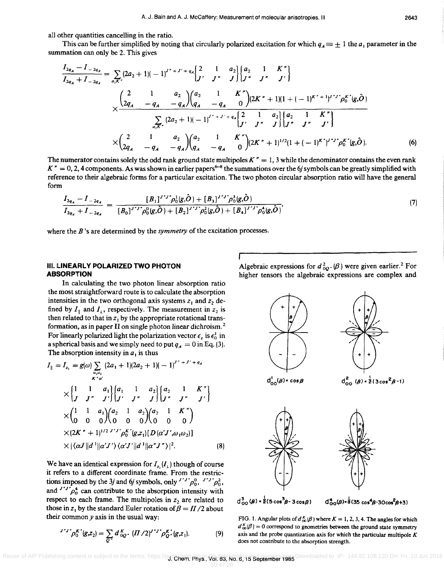all other quantities cancelling in the ratio.

This can be further simplified by noting that circularly polarized excitation for which  $q_A \equiv \pm 1$  the  $a_1$  parameter in the summation can only be 2. This gives

$$
\frac{I_{2q_A} - I_{-2q_A}}{I_{2q_A} + I_{-2q_A}} = \sum_{a_2K'} (2a_2 + 1)(-1)^{J^* + J^* + q_A} \begin{bmatrix} 2 & 1 & a_2 \\ J^{\prime} & J^{\prime \prime} & J \end{bmatrix} \begin{bmatrix} a_2 & 1 & K^{\prime \prime} \\ J^{\prime \prime} & J^{\prime \prime} & J^{\prime} \end{bmatrix}
$$

$$
\times \frac{\begin{pmatrix} 2 & 1 & a_2 \\ 2q_A & -q_A & -q_A \end{pmatrix} \begin{bmatrix} a_2 & 1 & K^{\prime \prime} \\ q_A & -q_A & 0 \end{bmatrix} (2K^{\prime \prime} + 1)(1 + (-1)^{K^* + 1})^{J^* J^*} \rho_0^{K^*} (g, \hat{O})}{\begin{bmatrix} \sum_{a_2K'} (2a_2 + 1)(-1)^{J^* + J^* + q_A} \begin{bmatrix} 2 & 1 & a_2 \\ J^{\prime} & J^{\prime \prime} & J \end{bmatrix} \begin{bmatrix} a_2 & 1 & K^{\prime \prime} \\ J^{\prime \prime} & J^{\prime \prime} & J \end{bmatrix}}{\begin{bmatrix} \sum_{a_2K'} (2a_2 + 1)(-1)^{J^* + J^* + q_A} \begin{bmatrix} 2 & 1 & a_2 \\ J^{\prime \prime} & J^{\prime \prime} & J \end{bmatrix} \begin{bmatrix} \sum_{a_2K'} (2a_2 + 1)(-1)^{J^* + J^* + q_A} \end{bmatrix}} \times \begin{pmatrix} 2 & 1 & K^{\prime \prime} \\ 2q_A & -q_A & -q_A \end{pmatrix} \begin{pmatrix} a_2 & 1 & K^{\prime \prime} \\ q_A & -q_A & 0 \end{pmatrix} (2K^{\prime \prime} + 1)^{1/2} (1 + (-1)^{K^*})^{J^* J^*} \rho_0^{K^*} (g, \hat{O}). \tag{6}
$$

The numerator contains solely the odd rank ground state multipoles  $K'' = 1$ , 3 while the denominator contains the even rank  $K'' = 0, 2, 4$  components. As was shown in earlier papers<sup>6-8</sup> the summations over the 6*j* symbols can be greatly simplified with reference to their algebraic forms for a particular excitation. The two photon circular absorption ratio will have the general form

$$
\frac{I_{2q_A} - I_{-2q_A}}{I_{2q_A} + I_{-2q_A}} = \frac{[B_1]^{J'J'} \rho_0^1(g,\hat{O}) + [B_3]^{J'J'} \rho_0^3(g,\hat{O})}{[B_0]^{J'J'} \rho_0^0(g,\hat{O}) + [B_2]^{J'J'} \rho_0^4(g,\hat{O}) + [B_4]^{J'J'} \rho_0^4(g,\hat{O})},\tag{7}
$$

where the B 's are determined by the *symmetry* of the excitation processes.

#### **III. LINEARLY POLARIZED TWO PHOTON ABSORPTION**

In calculating the two photon linear absorption ratio the most straightforward route is to calculate the absorption intensities in the two orthogonal axis systems  $z_1$  and  $z_2$  defined by  $I_{\parallel}$  and  $I_{\perp}$ , respectively. The measurement in  $z_2$  is then related to that in  $z_1$  by the appropriate rotational transformation, as in paper II on single photon linear dichroism. 2 For linearly polarized light the polarization vector  $\epsilon_z$  is  $\epsilon_0^1$  in a spherical basis and we simply need to put  $q_A = 0$  in Eq. (3). The absorption intensity in  $a_1$  is thus

$$
I_{\parallel} = I_{z_1} = g(\omega) \sum_{\alpha_1, \alpha_2} (2a_1 + 1)(2a_2 + 1)(-1)^{J^* + J^* + q_A}
$$
  
\n
$$
\times \begin{bmatrix} 1 & 1 & a_1 \\ J & J^* & J' \end{bmatrix} \begin{bmatrix} a_1 & 1 & a_2 \\ J^* & J^* & J \end{bmatrix} \begin{bmatrix} a_2 & 1 & K^* \\ J^* & J^* & J' \end{bmatrix}
$$
  
\n
$$
\times \begin{pmatrix} 1 & 1 & a_1 \\ 0 & 0 & 0 \end{pmatrix} \begin{pmatrix} a_2 & 1 & a_2 \\ 0 & 0 & 0 \end{pmatrix} \begin{pmatrix} a_2 & 1 & K^* \\ 0 & 0 & 0 \end{pmatrix}
$$
  
\n
$$
\times (2K^* + 1)^{1/2} J^* J^* \rho_0^K (g, z_1) [D(\alpha' J', \omega_1 \omega_2)]
$$
  
\n
$$
\times |\langle \alpha J || d^* || \alpha' J' \rangle \langle \alpha' J' || d^* || \alpha'' J^* \rangle|^2.
$$
 (8)

We have an identical expression for  $I_{z_2}(I_1)$  though of course it refers to a different coordinate frame. From the restrictions imposed by the 3*j* and 6*j* symbols, only  $J' J' \rho_0^0$ ,  $J' J' \rho_0^2$ , and  $J'J'\rho_0^4$  can contribute to the absorption intensity with respect to each frame. The multipoles in  $z<sub>2</sub>$  are related to those in  $z_1$  by the standard Euler rotation of  $\beta = \frac{\pi}{2}$  about their common *y* axis in the usual way:

$$
I^{\prime}J^{\prime}\rho_{0}^{K^{\prime}}(g,z_{2})=\sum_{Q^{\prime}}d_{0Q^{\prime}}^{K}\left(\Pi/2\right)^{J^{\prime}J^{\prime}}\rho_{Q^{\prime}}^{K^{\prime}}(g,z_{1}).
$$
\n(9)

Algebraic expressions for  $d_{00}^2$ . ( $\beta$ ) were given earlier.<sup>2</sup> For higher tensors the algebraic expressions are complex and



 $d_{OO}^{4}(\beta) = \frac{1}{6}(35 \cos^{4} \beta - 30 \cos^{2} \beta + 3)$ 

FIG. 1. Angular plots of  $d_{00}^{K}(\beta)$  where  $K = 1, 2, 3, 4$ . The angles for which  $d_{00}^{K}(\beta) = 0$  correspond to geometries between the ground state symmetry axis and the probe quantization axis for which the particular multipole  $K$ does not contribute to the absorption strength.

Reuse of AIP Publishing content is subject to the terms: https://publishing phys.rval.barking.barking.barking.com/permissions. Downloaded to IP: 144.82.108.120 On: Fri, 10 Jun 2016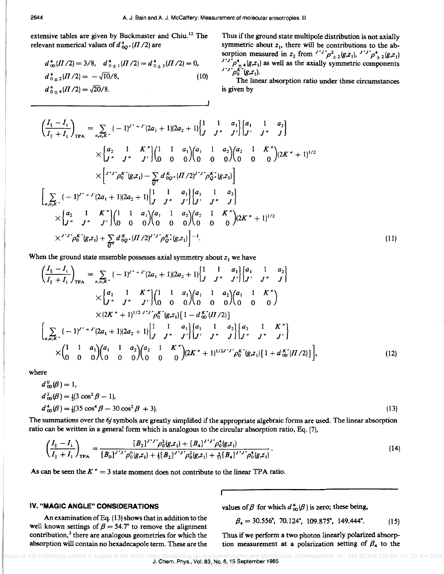extensive tables are given by Buckmaster and Chiu. 12 The relevant numerical values of  $d^4_{00'}(H/2)$  are

$$
d_{00}^4(\Pi/2) = 3/8, \quad d_{0\pm 1}^4(\Pi/2) = d_{0\pm 3}^4(\Pi/2) = 0,
$$
  
\n
$$
d_{0\pm 2}^4(\Pi/2) = -\sqrt{10}/8,
$$
  
\n
$$
d_{0\pm 4}^4(\Pi/2) = \sqrt{20}/8.
$$
\n(10)

Thus if the ground state multipole distribution is not axially symmetric about  $z_1$ , there will be contributions to the absorption measured in  $z_2$  from  $I^{\prime}J^{\prime}\rho_{\pm 2}^2(g,z_1)$ ,  $I^{\prime}J^{\prime}\rho_{\pm 2}^4(g,z_1)$  $J'J'_{\pm 4}(g,z_1)$  as well as the axially symmetric components  $\int_{0}^{K} (g,z_1)$ .

The linear absorption ratio under these circumstances is given by

$$
\left(\frac{I_{\parallel}-I_{\perp}}{I_{\parallel}+I_{\perp}}\right)_{\text{TPA}} = \sum_{a_i a_j k'} (-1)^{j'+j'} (2a_1+1)(2a_2+1) \begin{bmatrix} 1 & 1 & a_1 \\ J & J'' & J' \end{bmatrix} \begin{bmatrix} a_1 & 1 & a_2 \\ J' & J'' & J \end{bmatrix}
$$
  
\n
$$
\times \begin{bmatrix} a_2 & 1 & K'' \\ J'' & J'' & J' \end{bmatrix} \begin{bmatrix} 1 & 1 & a_1 \\ 0 & 0 & 0 \end{bmatrix} \begin{bmatrix} a_1 & 1 & a_2 \\ 0 & 0 & 0 \end{bmatrix} \begin{bmatrix} a_2 & 1 & K'' \\ 0 & 0 & 0 \end{bmatrix} (2K''+1)^{1/2}
$$
  
\n
$$
\times \begin{bmatrix} J^{*J'} \rho_0^{K'}(g,z_1) - \sum_{Q'} d_{QQ'}^{K}(H/2)^{J'J'} \rho_0^{K'}(g,z_1) \\ J^{*'} & J^{*'} \end{bmatrix}
$$
  
\n
$$
\left[ \sum_{a_i a_j K'} (-1)^{J^*+J'} (2a_1+1)(2a_2+1) \begin{bmatrix} 1 & 1 & a_1 \\ J & J'' & J' \end{bmatrix} \begin{bmatrix} a_1 & 1 & a_2 \\ J^{*'} & J'' & J \end{bmatrix} \begin{bmatrix} a_1 & 1 & a_2 \\ J^{*'} & J'' & J \end{bmatrix} \right]
$$
  
\n
$$
\times \begin{bmatrix} a_2 & 1 & K'' \\ J'' & J'' & J' \end{bmatrix} \begin{bmatrix} 1 & 1 & a_1 \\ 0 & 0 & 0 \end{bmatrix} \begin{bmatrix} a_1 & 1 & a_2 \\ 0 & 0 & 0 \end{bmatrix} \begin{bmatrix} a_2 & 1 & K'' \\ 0 & 0 & 0 \end{bmatrix} (2K''+1)^{1/2}
$$
  
\n
$$
\times^{J^{*J'} \rho_0^{K''}(g,z_1) + \sum_{Q'} d_{QQ'}^{K}(H/2)^{J^{*J'}} \rho_0^{K'}(g,z_1) \end{bmatrix}^{-1}.
$$
  
\n(11)

When the ground state ensemble possesses axial symmetry about  $z_1$  we have

$$
\left(\frac{I_{\parallel}-I_{\perp}}{I_{\parallel}+I_{\perp}}\right)_{\text{TPA}} = \sum_{a,a,x'} (-1)^{J'+J'} (2a_1+1)(2a_2+1) \begin{bmatrix} 1 & 1 & a_1 \\ J & J'' & J' \end{bmatrix} \begin{bmatrix} a_1 & 1 & a_2 \\ J' & J'' & J \end{bmatrix}
$$
  
\n
$$
\times \begin{bmatrix} a_2 & 1 & K'' \\ J'' & J'' & J' \end{bmatrix} \begin{bmatrix} 1 & 1 & a_1 \\ 0 & 0 & 0 \end{bmatrix} \begin{bmatrix} a_1 & 1 & a_2 \\ 0 & 0 & 0 \end{bmatrix} \begin{bmatrix} a_1 & 1 & K'' \\ 0 & 0 & 0 \end{bmatrix}
$$
  
\n
$$
\times (2K''+1)^{1/2 J'J'} \rho_0^{K''}(g,z_1) \begin{bmatrix} 1 & -d_0^{K''}(I/2) \end{bmatrix}
$$
  
\n
$$
\left[\sum_{a,a,x'} (-1)^{J''+J'} (2a_1+1)(2a_2+1) \begin{bmatrix} 1 & 1 & a_1 \\ J & J'' & J' \end{bmatrix} \begin{bmatrix} a_1 & 1 & a_2 \\ J' & J'' & J' \end{bmatrix} \begin{bmatrix} a_2 & 1 & K'' \\ J' & J'' & J' \end{bmatrix} \right]
$$
  
\n
$$
\times \begin{pmatrix} 1 & 1 & a_1 \\ 0 & 0 & 0 \end{pmatrix} \begin{bmatrix} a_1 & 1 & a_2 \\ 0 & 0 & 0 \end{bmatrix} \begin{bmatrix} a_2 & 1 & K'' \\ 0 & 0 & 0 \end{bmatrix} (2K''+1)^{1/2 J'J'} \rho_0^{K''}(g,z_1) \begin{bmatrix} 1+d_0^{K''}(I/2) \end{bmatrix} \right],
$$
 (12)

where

$$
d_{00}^{0}(\beta) = 1,d_{00}^{2}(\beta) = \frac{1}{2}(3\cos^{2}\beta - 1),d_{00}^{4}(\beta) = \frac{1}{8}(35\cos^{4}\beta - 30\cos^{2}\beta + 3).
$$
\n(13)

The summations over the *6j* symbols are greatly simplified if the appropriate algebraic forms are used. The linear absorption ratio can be written in a general form which is analogous to the circular absorption ratio, Eq. (7),

$$
\left(\frac{I_{\parallel}-I_{\perp}}{I_{\parallel}+I_{\perp}}\right)_{\text{TPA}} = \frac{[B_2]^{J'J'}\rho_0^2(g,z_1) + [B_4]^{J'J'}\rho_0^4(g,z_1)}{[B_0]^{J'J'}\rho_0^0(g,z_1) + \frac{1}{3}[B_2]^{J'J'}\rho_0^2(g,z_1) + \frac{5}{11}[B_4]^{J'J'}\rho_0^4(g,z_1)}.
$$
\n(14)

As can be seen the  $K'' = 3$  state moment does not contribute to the linear TPA ratio.

### IV. "MAGIC ANGLE" CONSIDERATIONS values of  $\beta$  for which  $d^4_{\alpha\alpha}(\beta)$  is zero; these being,

An examination of Eq.  $(13)$  shows that in addition to the well known settings of  $\beta = 54.7^{\circ}$  to remove the alignment contribution,<sup>3</sup> there are analogous geometries for which the absorption will contain no hexadecapole term. These are the

$$
\beta_4 = 30.556^{\circ}, 70.124^{\circ}, 109.875^{\circ}, 149.444^{\circ}. \tag{15}
$$

Thus if we perform a two photon linearly polarized absorption measurement at a polarization setting of  $\beta_4$  to the

AIP Publishing content is subject to the terms: https://publishing.aip.org/authors/rights-and-permissions. Downloaded to IP: 144.82.108.120 On: Fri, 10 Jun 2016 J. Chem. Phys., Vol. 83, No. 6, 15 September 1985